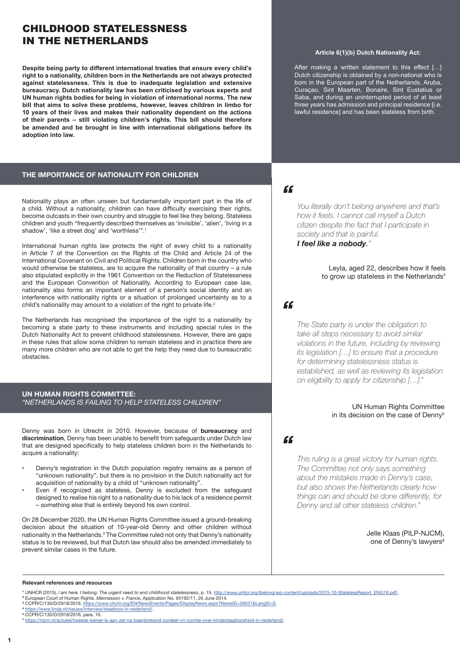# CHILDHOOD STATELESSNESS IN THE NETHERLANDS

**Despite being party to different international treaties that ensure every child's right to a nationality, children born in the Netherlands are not always protected against statelessness. This is due to inadequate legislation and extensive bureaucracy. Dutch nationality law has been criticised by various experts and UN human rights bodies for being in violation of international norms. The new bill that aims to solve these problems, however, leaves children in limbo for 10 years of their lives and makes their nationality dependent on the actions of their parents – still violating children's rights. This bill should therefore be amended and be brought in line with international obligations before its adoption into law.**

#### **THE IMPORTANCE OF NATIONALITY FOR CHILDREN**

Nationality plays an often unseen but fundamentally important part in the life of a child. Without a nationality, children can have difficulty exercising their rights, become outcasts in their own country and struggle to feel like they belong. Stateless children and youth "frequently described themselves as 'invisible', 'alien', 'living in a shadow', 'like a street dog' and 'worthless'".<sup>1</sup>

International human rights law protects the right of every child to a nationality in Article 7 of the Convention on the Rights of the Child and Article 24 of the International Covenant on Civil and Political Rights. Children born in the country who would otherwise be stateless, are to acquire the nationality of that country – a rule also stipulated explicitly in the 1961 Convention on the Reduction of Statelessness and the European Convention of Nationality. According to European case law, nationality also forms an important element of a person's social identity and an interference with nationality rights or a situation of prolonged uncertainty as to a child's nationality may amount to a violation of the right to private life.<sup>2</sup>

The Netherlands has recognised the importance of the right to a nationality by becoming a state party to these instruments and including special rules in the Dutch Nationality Act to prevent childhood statelessness. However, there are gaps in these rules that allow some children to remain stateless and in practice there are many more children who are not able to get the help they need due to bureaucratic obstacles.

**UN HUMAN RIGHTS COMMITTEE:**  *"NETHERLANDS IS FAILING TO HELP STATELESS CHILDREN"*

Denny was born in Utrecht in 2010. However, because of **bureaucracy** and **discrimination**, Denny has been unable to benefit from safeguards under Dutch law that are designed specifically to help stateless children born in the Netherlands to acquire a nationality:

- Denny's registration in the Dutch population registry remains as a person of "unknown nationality", but there is no provision in the Dutch nationality act for acquisition of nationality by a child of "unknown nationality".
- Even if recognized as stateless, Denny is excluded from the safeguard designed to realise his right to a nationality due to his lack of a residence permit – something else that is entirely beyond his own control.

On 28 December 2020, the UN Human Rights Committee issued a ground-breaking decision about the situation of 10-year-old Denny and other children without nationality in the Netherlands.<sup>3</sup> The Committee ruled not only that Denny's nationality status is to be reviewed, but that Dutch law should also be amended immediately to prevent similar cases in the future.

#### **Article 6(1)(b) Dutch Nationality Act:**

After making a written statement to this effect [...] Dutch citizenship is obtained by a non-national who is born in the European part of the Netherlands, Aruba, Curaçao, Sint Maarten, Bonaire, Sint Eustatius or Saba, and during an uninterrupted period of at least three years has admission and principal residence [i.e. lawful residence] and has been stateless from birth.

## $f$

*You literally don't belong anywhere and that's how it feels. I cannot call myself a Dutch citizen despite the fact that I participate in society and that is painful. I feel like a nobody."*

> Leyla, aged 22, describes how it feels to grow up stateless in the Netherlands<sup>4</sup>

## *"*

*The State party is under the obligation to take all steps necessary to avoid similar violations in the future, including by reviewing its legislation […] to ensure that a procedure for determining statelessness status is established, as well as reviewing its legislation on eligibility to apply for citizenship […]."*

#### UN Human Rights Committee in its decision on the case of Denny<sup>5</sup>

### *"*

*This ruling is a great victory for human rights. The Committee not only says something about the mistakes made in Denny's case, but also shows the Netherlands clearly how things can and should be done differently, for Denny and all other stateless children."*

> Jelle Klaas (PILP-NJCM), one of Denny's lawyers<sup>6</sup>

#### **Relevant references and resources**

- 
- **3** CCPR/C/130/D/2918/2016. <https://www.ohchr.org/EN/NewsEvents/Pages/DisplayNews.aspx?NewsID=26631&LangID=E>.
- **<sup>4</sup>** <https://www.linda.nl/nieuws/interview/staatloos-in-nederland/>. **5** CCPR/C/130/D/2918/2016, para. 10.

<sup>1</sup> UNHCR (2015), I *am here. I belong. The urgent need to end childhood statelessness*, p. 15. <u>[http://www.unhcr.org/ibelong/wp-content/uploads/2015-10-StatelessReport\\_ENG16.pdf](http://www.unhcr.org/ibelong/wp-content/uploads/2015-10-StatelessReport_ENG16.pdf ) .</u><br><sup>2</sup> European Court of Human Rights, Mennes

<sup>6</sup> <https://njcm.nl/actueel/tweede-kamer-is-aan-zet-na-baanbrekend-oordeel-vn-comite-over-kinderstaatloosheid-in-nederland/>.